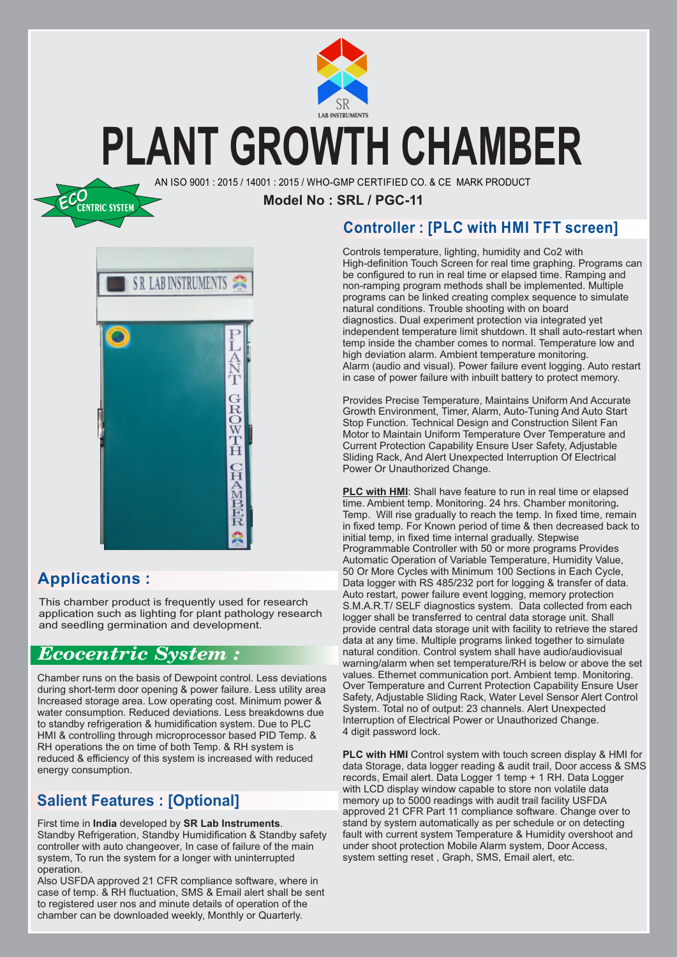

### **PLANT GROWTH CHAMBER**

AN ISO 9001 : 2015 / 14001 : 2015 / WHO-GMP CERTIFIED CO. & CE MARK PRODUCT

**Model No : SRL / PGC-11**



### **Applications :**

*ECO***CENTRIC SYSTEM**

This chamber product is frequently used for research application such as lighting for plant pathology research and seedling germination and development.

### *Ecocentric System :*

Chamber runs on the basis of Dewpoint control. Less deviations during short-term door opening & power failure. Less utility area Increased storage area. Low operating cost. Minimum power & water consumption. Reduced deviations. Less breakdowns due to standby refrigeration & humidification system. Due to PLC HMI & controlling through microprocessor based PID Temp. & RH operations the on time of both Temp. & RH system is reduced & efficiency of this system is increased with reduced energy consumption.

### **Salient Features : [Optional]**

First time in **India** developed by **SR Lab Instruments**. Standby Refrigeration, Standby Humidification & Standby safety controller with auto changeover, In case of failure of the main system, To run the system for a longer with uninterrupted operation.

Also USFDA approved 21 CFR compliance software, where in case of temp. & RH fluctuation, SMS & Email alert shall be sent to registered user nos and minute details of operation of the chamber can be downloaded weekly, Monthly or Quarterly.

### **Controller : [PLC with HMI TFT screen]**

Controls temperature, lighting, humidity and Co2 with High-definition Touch Screen for real time graphing. Programs can be configured to run in real time or elapsed time. Ramping and non-ramping program methods shall be implemented. Multiple programs can be linked creating complex sequence to simulate natural conditions. Trouble shooting with on board diagnostics. Dual experiment protection via integrated yet independent temperature limit shutdown. It shall auto-restart when temp inside the chamber comes to normal. Temperature low and high deviation alarm. Ambient temperature monitoring. Alarm (audio and visual). Power failure event logging. Auto restart in case of power failure with inbuilt battery to protect memory.

Provides Precise Temperature, Maintains Uniform And Accurate Growth Environment, Timer, Alarm, Auto-Tuning And Auto Start Stop Function. Technical Design and Construction Silent Fan Motor to Maintain Uniform Temperature Over Temperature and Current Protection Capability Ensure User Safety, Adjustable Sliding Rack, And Alert Unexpected Interruption Of Electrical Power Or Unauthorized Change.

**PLC with HMI:** Shall have feature to run in real time or elapsed time. Ambient temp. Monitoring. 24 hrs. Chamber monitoring**.** Temp. Will rise gradually to reach the temp. In fixed time, remain in fixed temp. For Known period of time & then decreased back to initial temp, in fixed time internal gradually. Stepwise Programmable Controller with 50 or more programs Provides Automatic Operation of Variable Temperature, Humidity Value, 50 Or More Cycles with Minimum 100 Sections in Each Cycle, Data logger with RS 485/232 port for logging & transfer of data. Auto restart, power failure event logging, memory protection S.M.A.R.T/ SELF diagnostics system. Data collected from each logger shall be transferred to central data storage unit. Shall provide central data storage unit with facility to retrieve the stared data at any time. Multiple programs linked together to simulate natural condition. Control system shall have audio/audiovisual warning/alarm when set temperature/RH is below or above the set values. Ethernet communication port. Ambient temp. Monitoring. Over Temperature and Current Protection Capability Ensure User Safety, Adjustable Sliding Rack, Water Level Sensor Alert Control System. Total no of output: 23 channels. Alert Unexpected Interruption of Electrical Power or Unauthorized Change. 4 digit password lock.

**PLC with HMI** Control system with touch screen display & HMI for data Storage, data logger reading & audit trail, Door access & SMS records, Email alert. Data Logger 1 temp + 1 RH. Data Logger with LCD display window capable to store non volatile data memory up to 5000 readings with audit trail facility USFDA approved 21 CFR Part 11 compliance software. Change over to stand by system automatically as per schedule or on detecting fault with current system Temperature & Humidity overshoot and under shoot protection Mobile Alarm system, Door Access, system setting reset , Graph, SMS, Email alert, etc.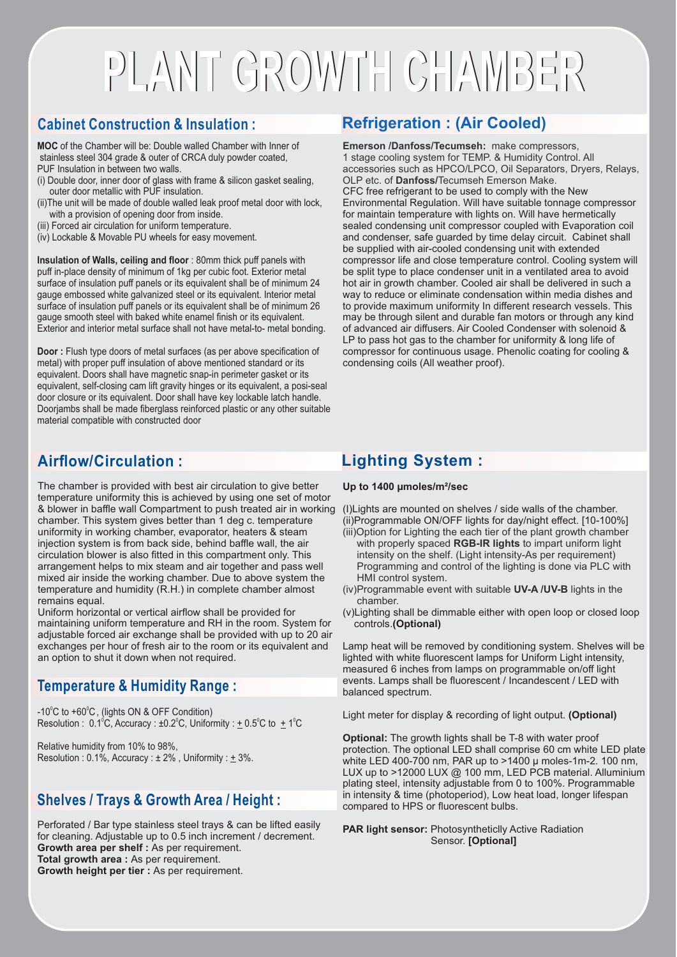## **PLANT GROWTH CHAMBER PLANT GROWTH CHAMBER**

### **Cabinet Construction & Insulation :**

**MOC** of the Chamber will be: Double walled Chamber with Inner of stainless steel 304 grade & outer of CRCA duly powder coated, PUF Insulation in between two walls.

- (i) Double door, inner door of glass with frame & silicon gasket sealing, outer door metallic with PUF insulation.
- (ii)The unit will be made of double walled leak proof metal door with lock, with a provision of opening door from inside.
- (iii) Forced air circulation for uniform temperature.
- (iv) Lockable & Movable PU wheels for easy movement.

**Insulation of Walls, ceiling and floor** : 80mm thick puff panels with puff in-place density of minimum of 1kg per cubic foot. Exterior metal surface of insulation puff panels or its equivalent shall be of minimum 24 gauge embossed white galvanized steel or its equivalent. Interior metal surface of insulation puff panels or its equivalent shall be of minimum 26 gauge smooth steel with baked white enamel finish or its equivalent. Exterior and interior metal surface shall not have metal-to- metal bonding.

**Door :** Flush type doors of metal surfaces (as per above specification of metal) with proper puff insulation of above mentioned standard or its equivalent. Doors shall have magnetic snap-in perimeter gasket or its equivalent, self-closing cam lift gravity hinges or its equivalent, a posi-seal door closure or its equivalent. Door shall have key lockable latch handle. Doorjambs shall be made fiberglass reinforced plastic or any other suitable material compatible with constructed door

### **Airflow/Circulation :**

The chamber is provided with best air circulation to give better temperature uniformity this is achieved by using one set of motor & blower in baffle wall Compartment to push treated air in working chamber. This system gives better than 1 deg c. temperature uniformity in working chamber, evaporator, heaters & steam injection system is from back side, behind baffle wall, the air circulation blower is also fitted in this compartment only. This arrangement helps to mix steam and air together and pass well mixed air inside the working chamber. Due to above system the temperature and humidity (R.H.) in complete chamber almost remains equal.

Uniform horizontal or vertical airflow shall be provided for maintaining uniform temperature and RH in the room. System for adjustable forced air exchange shall be provided with up to 20 air exchanges per hour of fresh air to the room or its equivalent and an option to shut it down when not required.

### **Temperature & Humidity Range :**

 $-10^{\circ}$ C to  $+60^{\circ}$ C, (lights ON & OFF Condition) Resolution :  $0.1^{\circ}$ C, Accuracy :  $\pm 0.2^{\circ}$ C, Uniformity :  $\pm 0.5^{\circ}$ C to  $\pm 1^{\circ}$ C

Relative humidity from 10% to 98%, Resolution :  $0.1\%$ , Accuracy :  $\pm 2\%$ , Uniformity :  $\pm 3\%$ .

#### **Shelves / Trays & Growth Area / Height :**

Perforated / Bar type stainless steel trays & can be lifted easily for cleaning. Adjustable up to 0.5 inch increment / decrement. **Growth area per shelf :** As per requirement. **Total growth area :** As per requirement. **Growth height per tier :** As per requirement.

### **Refrigeration : (Air Cooled)**

**Emerson /Danfoss/Tecumseh:** make compressors, 1 stage cooling system for TEMP. & Humidity Control. All accessories such as HPCO/LPCO, Oil Separators, Dryers, Relays, OLP etc. of **Danfoss/**Tecumseh Emerson Make. CFC free refrigerant to be used to comply with the New Environmental Regulation. Will have suitable tonnage compressor for maintain temperature with lights on. Will have hermetically sealed condensing unit compressor coupled with Evaporation coil and condenser, safe guarded by time delay circuit. Cabinet shall be supplied with air-cooled condensing unit with extended compressor life and close temperature control. Cooling system will be split type to place condenser unit in a ventilated area to avoid hot air in growth chamber. Cooled air shall be delivered in such a way to reduce or eliminate condensation within media dishes and to provide maximum uniformity In different research vessels. This may be through silent and durable fan motors or through any kind of advanced air diffusers. Air Cooled Condenser with solenoid & LP to pass hot gas to the chamber for uniformity & long life of compressor for continuous usage. Phenolic coating for cooling & condensing coils (All weather proof).

### **Lighting System :**

**Up to 1400 µmoles/m²/sec**

(I)Lights are mounted on shelves / side walls of the chamber. (ii)Programmable ON/OFF lights for day/night effect. [10-100%]

- (iii)Option for Lighting the each tier of the plant growth chamber with properly spaced **RGB-IR lights** to impart uniform light intensity on the shelf. (Light intensity-As per requirement) Programming and control of the lighting is done via PLC with HMI control system.
- (iv)Programmable event with suitable **UV-A /UV-B** lights in the chamber.
- (v) Lighting shall be dimmable either with open loop or closed loop controls.**(Optional)**

Lamp heat will be removed by conditioning system. Shelves will be lighted with white fluorescent lamps for Uniform Light intensity, measured 6 inches from lamps on programmable on/off light events. Lamps shall be fluorescent / Incandescent / LED with balanced spectrum.

Light meter for display & recording of light output. **(Optional)**

**Optional:** The growth lights shall be T-8 with water proof protection. The optional LED shall comprise 60 cm white LED plate white LED 400-700 nm, PAR up to >1400 µ moles-1m-2. 100 nm, LUX up to >12000 LUX @ 100 mm, LED PCB material. Alluminium plating steel, intensity adjustable from 0 to 100%. Programmable in intensity & time (photoperiod), Low heat load, longer lifespan compared to HPS or fluorescent bulbs.

**PAR light sensor:** Photosyntheticlly Active Radiation Sensor. **[Optional]**